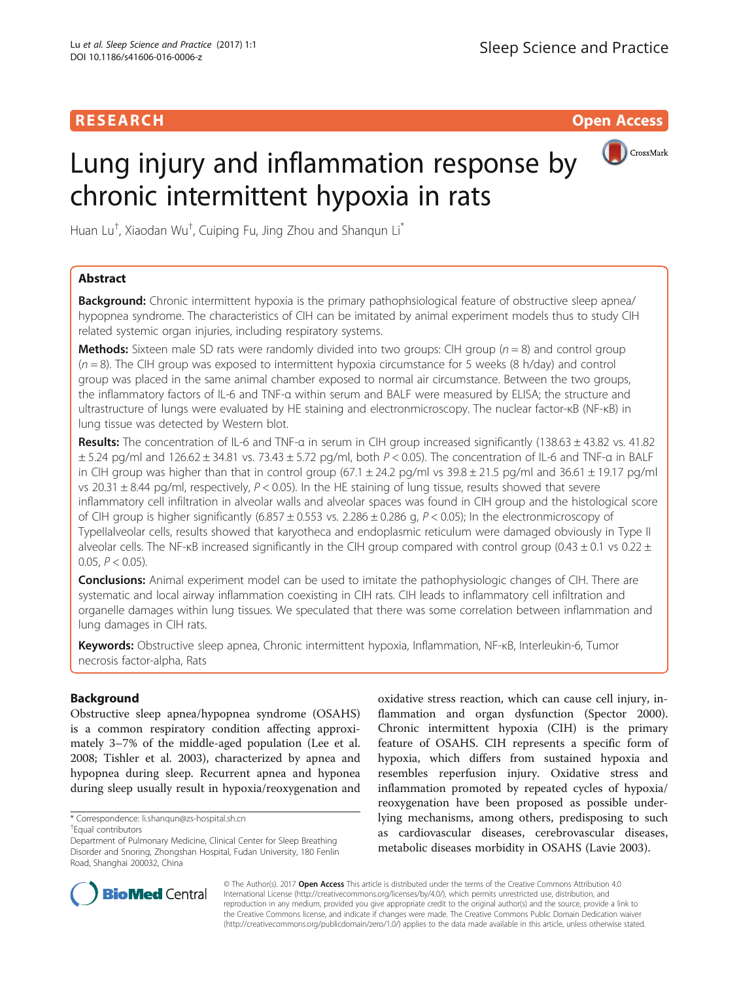# CrossMark Lung injury and inflammation response by chronic intermittent hypoxia in rats

Huan Lu<sup>†</sup>, Xiaodan Wu<sup>†</sup>, Cuiping Fu, Jing Zhou and Shanqun Li<sup>\*</sup>

# Abstract

**Background:** Chronic intermittent hypoxia is the primary pathophsiological feature of obstructive sleep apnea/ hypopnea syndrome. The characteristics of CIH can be imitated by animal experiment models thus to study CIH related systemic organ injuries, including respiratory systems.

**Methods:** Sixteen male SD rats were randomly divided into two groups: CIH group  $(n = 8)$  and control group  $(n = 8)$ . The CIH group was exposed to intermittent hypoxia circumstance for 5 weeks (8 h/day) and control group was placed in the same animal chamber exposed to normal air circumstance. Between the two groups, the inflammatory factors of IL-6 and TNF-α within serum and BALF were measured by ELISA; the structure and ultrastructure of lungs were evaluated by HE staining and electronmicroscopy. The nuclear factor-κB (NF-κB) in lung tissue was detected by Western blot.

Results: The concentration of IL-6 and TNF-a in serum in CIH group increased significantly (138.63 ± 43.82 vs. 41.82  $\pm$  5.24 pg/ml and 126.62  $\pm$  34.81 vs. 73.43  $\pm$  5.72 pg/ml, both P < 0.05). The concentration of IL-6 and TNF-a in BALF in CIH group was higher than that in control group  $(67.1 \pm 24.2 \text{ pg/ml} \text{ vs } 39.8 \pm 21.5 \text{ pg/ml} \text{ and } 36.61 \pm 19.17 \text{ pg/ml}$ vs  $20.31 \pm 8.44$  pg/ml, respectively,  $P < 0.05$ ). In the HE staining of lung tissue, results showed that severe inflammatory cell infiltration in alveolar walls and alveolar spaces was found in CIH group and the histological score of CIH group is higher significantly (6.857  $\pm$  0.553 vs. 2.286  $\pm$  0.286 g, P < 0.05); In the electronmicroscopy of TypeIIalveolar cells, results showed that karyotheca and endoplasmic reticulum were damaged obviously in Type II alveolar cells. The NF-kB increased significantly in the CIH group compared with control group (0.43  $\pm$  0.1 vs 0.22  $\pm$ 0.05,  $P < 0.05$ ).

**Conclusions:** Animal experiment model can be used to imitate the pathophysiologic changes of CIH. There are systematic and local airway inflammation coexisting in CIH rats. CIH leads to inflammatory cell infiltration and organelle damages within lung tissues. We speculated that there was some correlation between inflammation and lung damages in CIH rats.

Keywords: Obstructive sleep apnea, Chronic intermittent hypoxia, Inflammation, NF-κB, Interleukin-6, Tumor necrosis factor-alpha, Rats

# Background

Obstructive sleep apnea/hypopnea syndrome (OSAHS) is a common respiratory condition affecting approximately 3–7% of the middle-aged population (Lee et al. [2008](#page-6-0); Tishler et al. [2003](#page-6-0)), characterized by apnea and hypopnea during sleep. Recurrent apnea and hyponea during sleep usually result in hypoxia/reoxygenation and

Equal contributors

oxidative stress reaction, which can cause cell injury, inflammation and organ dysfunction (Spector [2000](#page-6-0)). Chronic intermittent hypoxia (CIH) is the primary feature of OSAHS. CIH represents a specific form of hypoxia, which differs from sustained hypoxia and resembles reperfusion injury. Oxidative stress and inflammation promoted by repeated cycles of hypoxia/ reoxygenation have been proposed as possible underlying mechanisms, among others, predisposing to such as cardiovascular diseases, cerebrovascular diseases, metabolic diseases morbidity in OSAHS (Lavie [2003](#page-6-0)).



© The Author(s). 2017 **Open Access** This article is distributed under the terms of the Creative Commons Attribution 4.0 International License [\(http://creativecommons.org/licenses/by/4.0/](http://creativecommons.org/licenses/by/4.0/)), which permits unrestricted use, distribution, and reproduction in any medium, provided you give appropriate credit to the original author(s) and the source, provide a link to the Creative Commons license, and indicate if changes were made. The Creative Commons Public Domain Dedication waiver [\(http://creativecommons.org/publicdomain/zero/1.0/](http://creativecommons.org/publicdomain/zero/1.0/)) applies to the data made available in this article, unless otherwise stated.

<sup>\*</sup> Correspondence: [li.shanqun@zs-hospital.sh.cn](mailto:li.shanqun@zs-hospital.sh.cn) †

Department of Pulmonary Medicine, Clinical Center for Sleep Breathing Disorder and Snoring, Zhongshan Hospital, Fudan University, 180 Fenlin Road, Shanghai 200032, China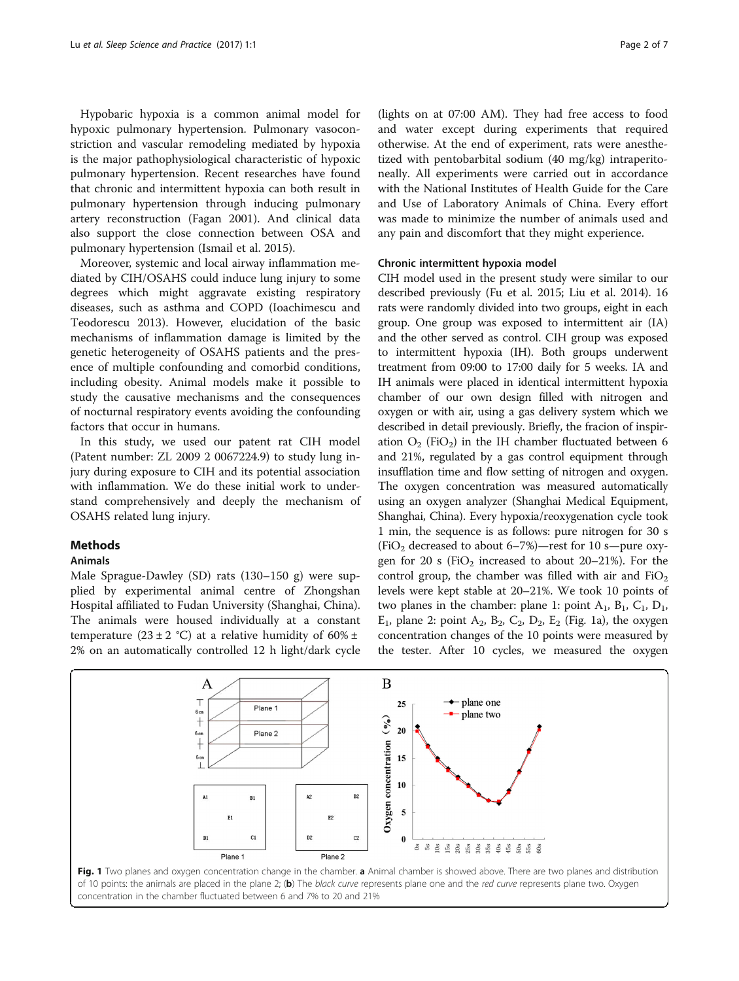<span id="page-1-0"></span>Hypobaric hypoxia is a common animal model for hypoxic pulmonary hypertension. Pulmonary vasoconstriction and vascular remodeling mediated by hypoxia is the major pathophysiological characteristic of hypoxic pulmonary hypertension. Recent researches have found that chronic and intermittent hypoxia can both result in pulmonary hypertension through inducing pulmonary artery reconstruction (Fagan [2001](#page-5-0)). And clinical data also support the close connection between OSA and pulmonary hypertension (Ismail et al. [2015\)](#page-5-0).

Moreover, systemic and local airway inflammation mediated by CIH/OSAHS could induce lung injury to some degrees which might aggravate existing respiratory diseases, such as asthma and COPD (Ioachimescu and Teodorescu [2013](#page-5-0)). However, elucidation of the basic mechanisms of inflammation damage is limited by the genetic heterogeneity of OSAHS patients and the presence of multiple confounding and comorbid conditions, including obesity. Animal models make it possible to study the causative mechanisms and the consequences of nocturnal respiratory events avoiding the confounding factors that occur in humans.

In this study, we used our patent rat CIH model (Patent number: ZL 2009 2 0067224.9) to study lung injury during exposure to CIH and its potential association with inflammation. We do these initial work to understand comprehensively and deeply the mechanism of OSAHS related lung injury.

# Methods

# Animals

Male Sprague-Dawley (SD) rats (130–150 g) were supplied by experimental animal centre of Zhongshan Hospital affiliated to Fudan University (Shanghai, China). The animals were housed individually at a constant temperature (23 ± 2 °C) at a relative humidity of 60% ± 2% on an automatically controlled 12 h light/dark cycle

(lights on at 07:00 AM). They had free access to food and water except during experiments that required otherwise. At the end of experiment, rats were anesthetized with pentobarbital sodium (40 mg/kg) intraperitoneally. All experiments were carried out in accordance with the National Institutes of Health Guide for the Care and Use of Laboratory Animals of China. Every effort was made to minimize the number of animals used and any pain and discomfort that they might experience.

# Chronic intermittent hypoxia model

CIH model used in the present study were similar to our described previously (Fu et al. [2015;](#page-5-0) Liu et al. [2014\)](#page-6-0). 16 rats were randomly divided into two groups, eight in each group. One group was exposed to intermittent air (IA) and the other served as control. CIH group was exposed to intermittent hypoxia (IH). Both groups underwent treatment from 09:00 to 17:00 daily for 5 weeks. IA and IH animals were placed in identical intermittent hypoxia chamber of our own design filled with nitrogen and oxygen or with air, using a gas delivery system which we described in detail previously. Briefly, the fracion of inspiration  $O_2$  (FiO<sub>2</sub>) in the IH chamber fluctuated between 6 and 21%, regulated by a gas control equipment through insufflation time and flow setting of nitrogen and oxygen. The oxygen concentration was measured automatically using an oxygen analyzer (Shanghai Medical Equipment, Shanghai, China). Every hypoxia/reoxygenation cycle took 1 min, the sequence is as follows: pure nitrogen for 30 s (FiO<sub>2</sub> decreased to about 6–7%)—rest for 10 s—pure oxygen for 20 s (FiO<sub>2</sub> increased to about 20–21%). For the control group, the chamber was filled with air and  $FiO<sub>2</sub>$ levels were kept stable at 20–21%. We took 10 points of two planes in the chamber: plane 1: point  $A_1$ ,  $B_1$ ,  $C_1$ ,  $D_1$ ,  $E_1$ , plane 2: point  $A_2$ ,  $B_2$ ,  $C_2$ ,  $D_2$ ,  $E_2$  (Fig. 1a), the oxygen concentration changes of the 10 points were measured by the tester. After 10 cycles, we measured the oxygen



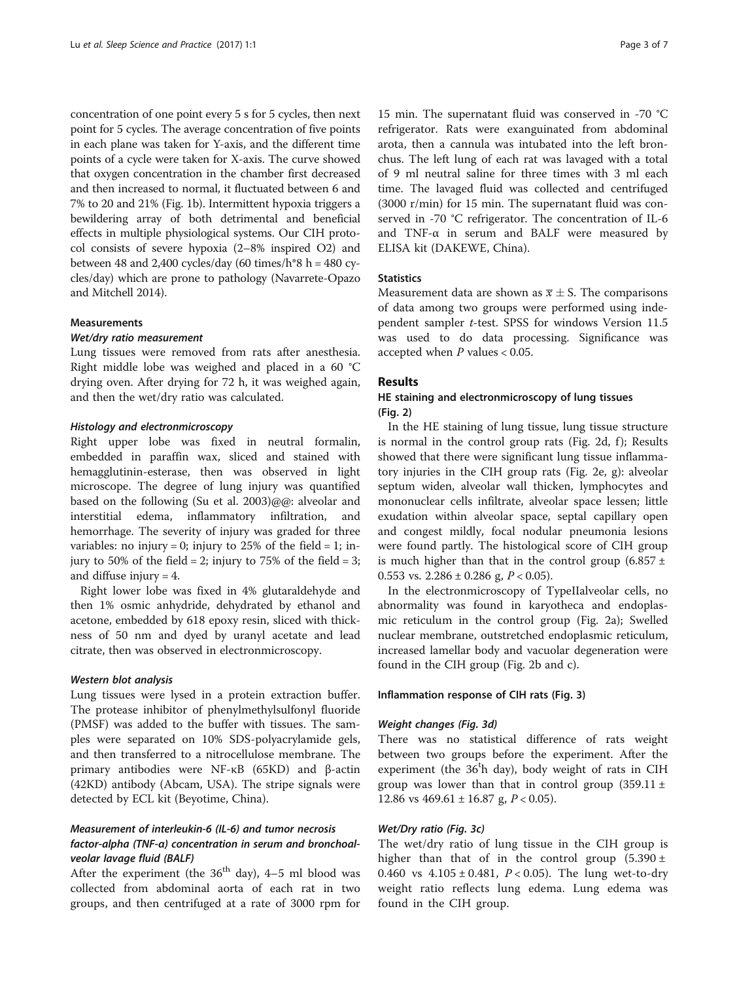concentration of one point every 5 s for 5 cycles, then next point for 5 cycles. The average concentration of five points in each plane was taken for Y-axis, and the different time points of a cycle were taken for X-axis. The curve showed that oxygen concentration in the chamber first decreased and then increased to normal, it fluctuated between 6 and 7% to 20 and 21% (Fig. [1b](#page-1-0)). Intermittent hypoxia triggers a bewildering array of both detrimental and beneficial effects in multiple physiological systems. Our CIH protocol consists of severe hypoxia (2–8% inspired O2) and between 48 and 2,400 cycles/day (60 times/h\*8 h = 480 cycles/day) which are prone to pathology (Navarrete-Opazo and Mitchell [2014](#page-6-0)).

### **Measurements**

# Wet/dry ratio measurement

Lung tissues were removed from rats after anesthesia. Right middle lobe was weighed and placed in a 60 °C drying oven. After drying for 72 h, it was weighed again, and then the wet/dry ratio was calculated.

### Histology and electronmicroscopy

Right upper lobe was fixed in neutral formalin, embedded in paraffin wax, sliced and stained with hemagglutinin-esterase, then was observed in light microscope. The degree of lung injury was quantified based on the following (Su et al. [2003\)](#page-6-0)@@: alveolar and interstitial edema, inflammatory infiltration, and hemorrhage. The severity of injury was graded for three variables: no injury = 0; injury to  $25\%$  of the field = 1; injury to 50% of the field = 2; injury to 75% of the field = 3; and diffuse injury  $= 4$ .

Right lower lobe was fixed in 4% glutaraldehyde and then 1% osmic anhydride, dehydrated by ethanol and acetone, embedded by 618 epoxy resin, sliced with thickness of 50 nm and dyed by uranyl acetate and lead citrate, then was observed in electronmicroscopy.

## Western blot analysis

Lung tissues were lysed in a protein extraction buffer. The protease inhibitor of phenylmethylsulfonyl fluoride (PMSF) was added to the buffer with tissues. The samples were separated on 10% SDS-polyacrylamide gels, and then transferred to a nitrocellulose membrane. The primary antibodies were NF-κB (65KD) and β-actin (42KD) antibody (Abcam, USA). The stripe signals were detected by ECL kit (Beyotime, China).

# Measurement of interleukin-6 (IL-6) and tumor necrosis factor-alpha (TNF-α) concentration in serum and bronchoalveolar lavage fluid (BALF)

After the experiment (the  $36<sup>th</sup>$  day), 4–5 ml blood was collected from abdominal aorta of each rat in two groups, and then centrifuged at a rate of 3000 rpm for

15 min. The supernatant fluid was conserved in -70 °C refrigerator. Rats were exanguinated from abdominal arota, then a cannula was intubated into the left bronchus. The left lung of each rat was lavaged with a total of 9 ml neutral saline for three times with 3 ml each time. The lavaged fluid was collected and centrifuged (3000 r/min) for 15 min. The supernatant fluid was conserved in -70 °C refrigerator. The concentration of IL-6 and TNF-α in serum and BALF were measured by ELISA kit (DAKEWE, China).

# **Statistics**

Measurement data are shown as  $\bar{x} \pm S$ . The comparisons of data among two groups were performed using independent sampler t-test. SPSS for windows Version 11.5 was used to do data processing. Significance was accepted when  $P$  values  $< 0.05$ .

## Results

# HE staining and electronmicroscopy of lung tissues (Fig. [2](#page-3-0))

In the HE staining of lung tissue, lung tissue structure is normal in the control group rats (Fig. 2d,  $f$ ); Results showed that there were significant lung tissue inflammatory injuries in the CIH group rats (Fig. [2e, g\)](#page-3-0): alveolar septum widen, alveolar wall thicken, lymphocytes and mononuclear cells infiltrate, alveolar space lessen; little exudation within alveolar space, septal capillary open and congest mildly, focal nodular pneumonia lesions were found partly. The histological score of CIH group is much higher than that in the control group  $(6.857 \pm$ 0.553 vs.  $2.286 \pm 0.286$  g,  $P < 0.05$ ).

In the electronmicroscopy of TypeIIalveolar cells, no abnormality was found in karyotheca and endoplasmic reticulum in the control group (Fig. [2a](#page-3-0)); Swelled nuclear membrane, outstretched endoplasmic reticulum, increased lamellar body and vacuolar degeneration were found in the CIH group (Fig. [2b and c\)](#page-3-0).

## Inflammation response of CIH rats (Fig. [3](#page-3-0))

## Weight changes (Fig. [3d](#page-3-0))

There was no statistical difference of rats weight between two groups before the experiment. After the experiment (the 36<sup>t</sup>h day), body weight of rats in CIH group was lower than that in control group  $(359.11 \pm$ 12.86 vs  $469.61 \pm 16.87$  g,  $P < 0.05$ ).

# Wet/Dry ratio (Fig. [3c\)](#page-3-0)

The wet/dry ratio of lung tissue in the CIH group is higher than that of in the control group  $(5.390 \pm$ 0.460 vs  $4.105 \pm 0.481$ ,  $P < 0.05$ ). The lung wet-to-dry weight ratio reflects lung edema. Lung edema was found in the CIH group.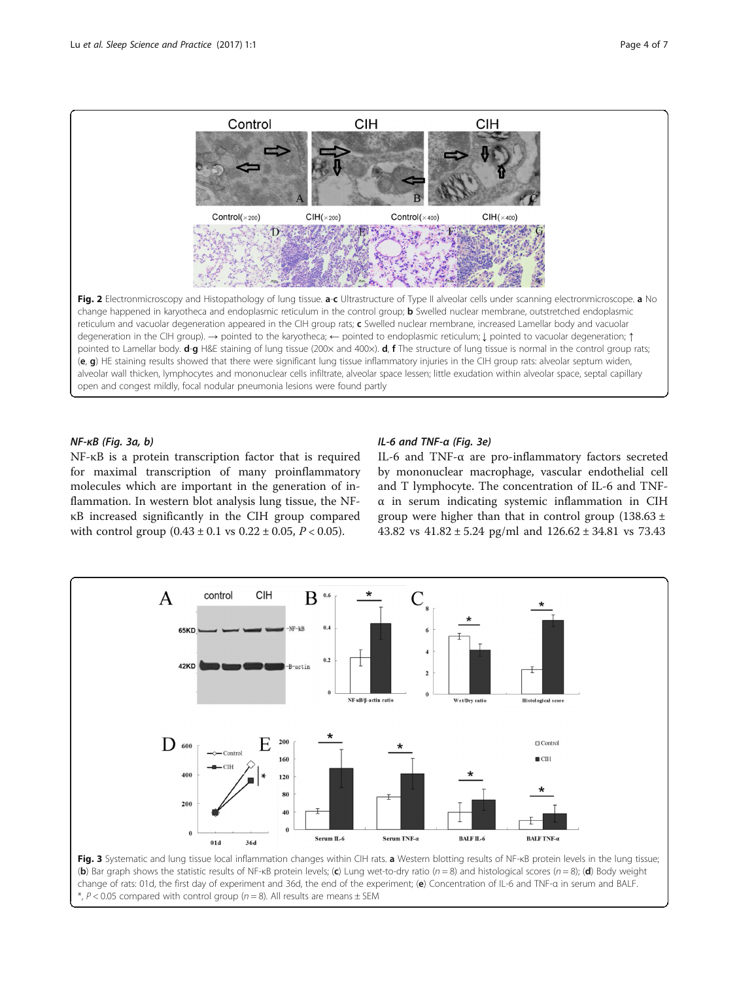<span id="page-3-0"></span>

# NF-κB (Fig. 3a, b)

NF-κB is a protein transcription factor that is required for maximal transcription of many proinflammatory molecules which are important in the generation of inflammation. In western blot analysis lung tissue, the NFκB increased significantly in the CIH group compared with control group  $(0.43 \pm 0.1 \text{ vs } 0.22 \pm 0.05, P < 0.05)$ .

# IL-6 and TNF-α (Fig. 3e)

IL-6 and TNF-α are pro-inflammatory factors secreted by mononuclear macrophage, vascular endothelial cell and T lymphocyte. The concentration of IL-6 and TNFα in serum indicating systemic inflammation in CIH group were higher than that in control group  $(138.63 \pm 1)$ 43.82 vs 41.82 ± 5.24 pg/ml and 126.62 ± 34.81 vs 73.43

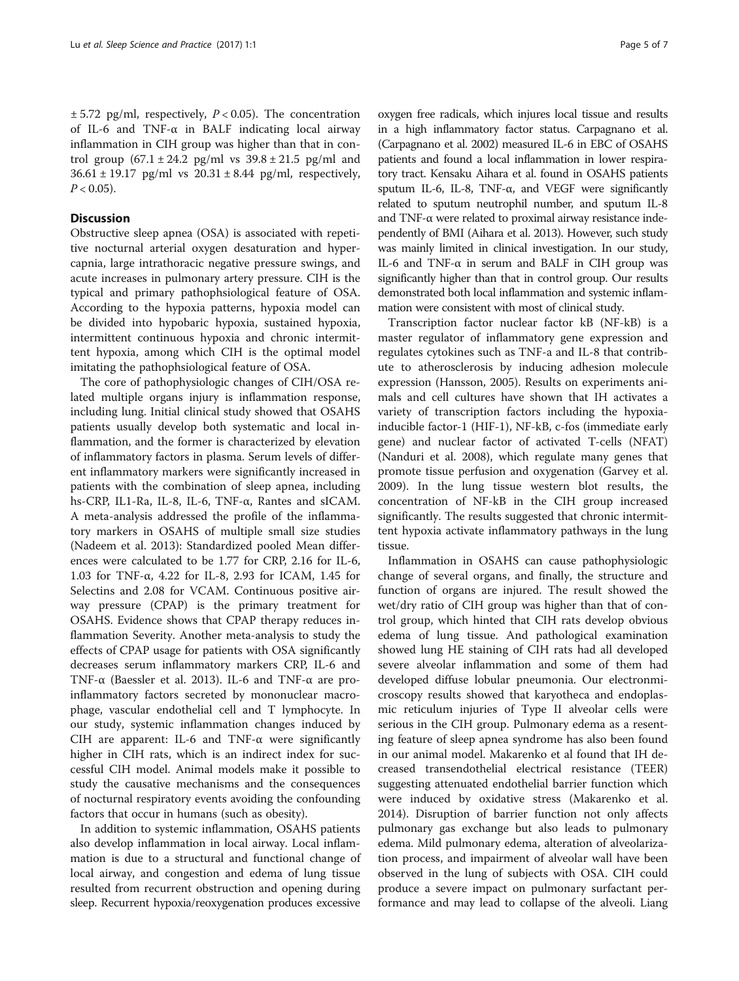$\pm$  5.72 pg/ml, respectively,  $P < 0.05$ ). The concentration of IL-6 and TNF-α in BALF indicating local airway inflammation in CIH group was higher than that in control group  $(67.1 \pm 24.2 \text{ pg/ml vs } 39.8 \pm 21.5 \text{ pg/ml and}$  $36.61 \pm 19.17$  pg/ml vs  $20.31 \pm 8.44$  pg/ml, respectively,  $P < 0.05$ ).

## **Discussion**

Obstructive sleep apnea (OSA) is associated with repetitive nocturnal arterial oxygen desaturation and hypercapnia, large intrathoracic negative pressure swings, and acute increases in pulmonary artery pressure. CIH is the typical and primary pathophsiological feature of OSA. According to the hypoxia patterns, hypoxia model can be divided into hypobaric hypoxia, sustained hypoxia, intermittent continuous hypoxia and chronic intermittent hypoxia, among which CIH is the optimal model imitating the pathophsiological feature of OSA.

The core of pathophysiologic changes of CIH/OSA related multiple organs injury is inflammation response, including lung. Initial clinical study showed that OSAHS patients usually develop both systematic and local inflammation, and the former is characterized by elevation of inflammatory factors in plasma. Serum levels of different inflammatory markers were significantly increased in patients with the combination of sleep apnea, including hs-CRP, IL1-Ra, IL-8, IL-6, TNF-α, Rantes and sICAM. A meta-analysis addressed the profile of the inflammatory markers in OSAHS of multiple small size studies (Nadeem et al. [2013](#page-6-0)): Standardized pooled Mean differences were calculated to be 1.77 for CRP, 2.16 for IL-6, 1.03 for TNF-α, 4.22 for IL-8, 2.93 for ICAM, 1.45 for Selectins and 2.08 for VCAM. Continuous positive airway pressure (CPAP) is the primary treatment for OSAHS. Evidence shows that CPAP therapy reduces inflammation Severity. Another meta-analysis to study the effects of CPAP usage for patients with OSA significantly decreases serum inflammatory markers CRP, IL-6 and TNF-α (Baessler et al. [2013\)](#page-5-0). IL-6 and TNF-α are proinflammatory factors secreted by mononuclear macrophage, vascular endothelial cell and T lymphocyte. In our study, systemic inflammation changes induced by CIH are apparent: IL-6 and TNF- $\alpha$  were significantly higher in CIH rats, which is an indirect index for successful CIH model. Animal models make it possible to study the causative mechanisms and the consequences of nocturnal respiratory events avoiding the confounding factors that occur in humans (such as obesity).

In addition to systemic inflammation, OSAHS patients also develop inflammation in local airway. Local inflammation is due to a structural and functional change of local airway, and congestion and edema of lung tissue resulted from recurrent obstruction and opening during sleep. Recurrent hypoxia/reoxygenation produces excessive

oxygen free radicals, which injures local tissue and results in a high inflammatory factor status. Carpagnano et al. (Carpagnano et al. [2002\)](#page-5-0) measured IL-6 in EBC of OSAHS patients and found a local inflammation in lower respiratory tract. Kensaku Aihara et al. found in OSAHS patients sputum IL-6, IL-8, TNF- $\alpha$ , and VEGF were significantly related to sputum neutrophil number, and sputum IL-8 and TNF-α were related to proximal airway resistance independently of BMI (Aihara et al. [2013](#page-5-0)). However, such study was mainly limited in clinical investigation. In our study, IL-6 and TNF- $\alpha$  in serum and BALF in CIH group was significantly higher than that in control group. Our results demonstrated both local inflammation and systemic inflammation were consistent with most of clinical study.

Transcription factor nuclear factor kB (NF-kB) is a master regulator of inflammatory gene expression and regulates cytokines such as TNF-a and IL-8 that contribute to atherosclerosis by inducing adhesion molecule expression (Hansson, [2005\)](#page-5-0). Results on experiments animals and cell cultures have shown that IH activates a variety of transcription factors including the hypoxiainducible factor-1 (HIF-1), NF-kB, c-fos (immediate early gene) and nuclear factor of activated T-cells (NFAT) (Nanduri et al. [2008\)](#page-6-0), which regulate many genes that promote tissue perfusion and oxygenation (Garvey et al. [2009](#page-5-0)). In the lung tissue western blot results, the concentration of NF-kB in the CIH group increased significantly. The results suggested that chronic intermittent hypoxia activate inflammatory pathways in the lung tissue.

Inflammation in OSAHS can cause pathophysiologic change of several organs, and finally, the structure and function of organs are injured. The result showed the wet/dry ratio of CIH group was higher than that of control group, which hinted that CIH rats develop obvious edema of lung tissue. And pathological examination showed lung HE staining of CIH rats had all developed severe alveolar inflammation and some of them had developed diffuse lobular pneumonia. Our electronmicroscopy results showed that karyotheca and endoplasmic reticulum injuries of Type II alveolar cells were serious in the CIH group. Pulmonary edema as a resenting feature of sleep apnea syndrome has also been found in our animal model. Makarenko et al found that IH decreased transendothelial electrical resistance (TEER) suggesting attenuated endothelial barrier function which were induced by oxidative stress (Makarenko et al. [2014](#page-6-0)). Disruption of barrier function not only affects pulmonary gas exchange but also leads to pulmonary edema. Mild pulmonary edema, alteration of alveolarization process, and impairment of alveolar wall have been observed in the lung of subjects with OSA. CIH could produce a severe impact on pulmonary surfactant performance and may lead to collapse of the alveoli. Liang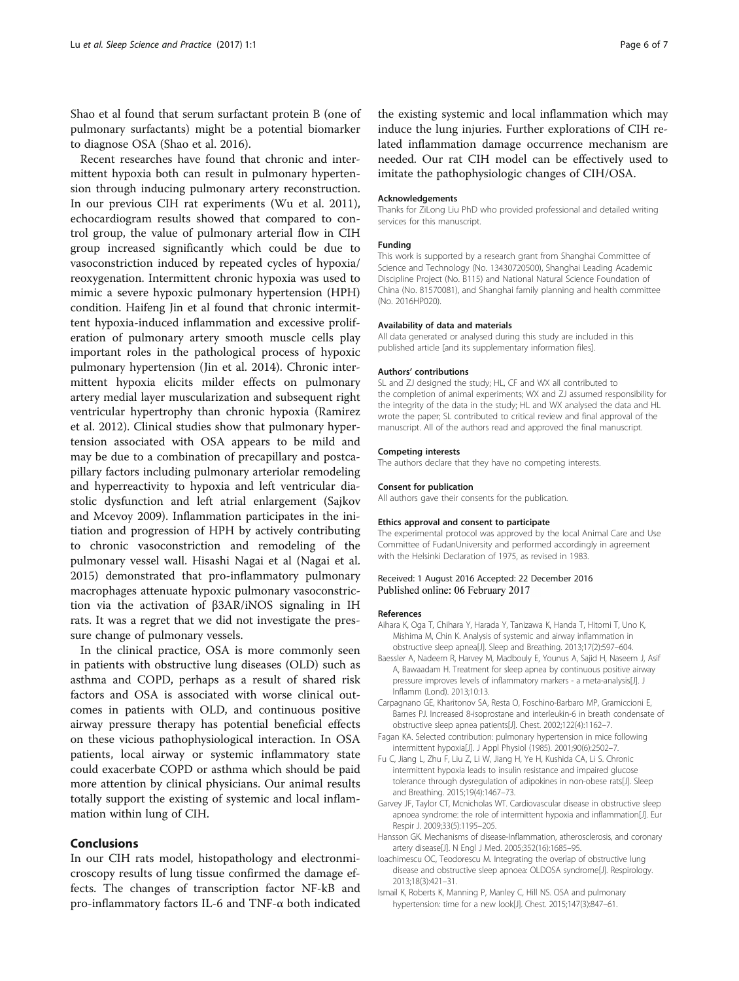<span id="page-5-0"></span>Shao et al found that serum surfactant protein B (one of pulmonary surfactants) might be a potential biomarker to diagnose OSA (Shao et al. [2016](#page-6-0)).

Recent researches have found that chronic and intermittent hypoxia both can result in pulmonary hypertension through inducing pulmonary artery reconstruction. In our previous CIH rat experiments (Wu et al. [2011](#page-6-0)), echocardiogram results showed that compared to control group, the value of pulmonary arterial flow in CIH group increased significantly which could be due to vasoconstriction induced by repeated cycles of hypoxia/ reoxygenation. Intermittent chronic hypoxia was used to mimic a severe hypoxic pulmonary hypertension (HPH) condition. Haifeng Jin et al found that chronic intermittent hypoxia-induced inflammation and excessive proliferation of pulmonary artery smooth muscle cells play important roles in the pathological process of hypoxic pulmonary hypertension (Jin et al. [2014](#page-6-0)). Chronic intermittent hypoxia elicits milder effects on pulmonary artery medial layer muscularization and subsequent right ventricular hypertrophy than chronic hypoxia (Ramirez et al. [2012](#page-6-0)). Clinical studies show that pulmonary hypertension associated with OSA appears to be mild and may be due to a combination of precapillary and postcapillary factors including pulmonary arteriolar remodeling and hyperreactivity to hypoxia and left ventricular diastolic dysfunction and left atrial enlargement (Sajkov and Mcevoy [2009](#page-6-0)). Inflammation participates in the initiation and progression of HPH by actively contributing to chronic vasoconstriction and remodeling of the pulmonary vessel wall. Hisashi Nagai et al (Nagai et al. [2015](#page-6-0)) demonstrated that pro-inflammatory pulmonary macrophages attenuate hypoxic pulmonary vasoconstriction via the activation of β3AR/iNOS signaling in IH rats. It was a regret that we did not investigate the pressure change of pulmonary vessels.

In the clinical practice, OSA is more commonly seen in patients with obstructive lung diseases (OLD) such as asthma and COPD, perhaps as a result of shared risk factors and OSA is associated with worse clinical outcomes in patients with OLD, and continuous positive airway pressure therapy has potential beneficial effects on these vicious pathophysiological interaction. In OSA patients, local airway or systemic inflammatory state could exacerbate COPD or asthma which should be paid more attention by clinical physicians. Our animal results totally support the existing of systemic and local inflammation within lung of CIH.

# Conclusions

In our CIH rats model, histopathology and electronmicroscopy results of lung tissue confirmed the damage effects. The changes of transcription factor NF-kB and pro-inflammatory factors IL-6 and TNF-α both indicated

the existing systemic and local inflammation which may induce the lung injuries. Further explorations of CIH related inflammation damage occurrence mechanism are needed. Our rat CIH model can be effectively used to imitate the pathophysiologic changes of CIH/OSA.

#### Acknowledgements

Thanks for ZiLong Liu PhD who provided professional and detailed writing services for this manuscript.

# Funding

This work is supported by a research grant from Shanghai Committee of Science and Technology (No. 13430720500), Shanghai Leading Academic Discipline Project (No. B115) and National Natural Science Foundation of China (No. 81570081), and Shanghai family planning and health committee (No. 2016HP020).

#### Availability of data and materials

All data generated or analysed during this study are included in this published article [and its supplementary information files].

#### Authors' contributions

SL and ZJ designed the study; HL, CF and WX all contributed to the completion of animal experiments; WX and ZJ assumed responsibility for the integrity of the data in the study; HL and WX analysed the data and HL wrote the paper; SL contributed to critical review and final approval of the manuscript. All of the authors read and approved the final manuscript.

# Competing interests

The authors declare that they have no competing interests.

#### Consent for publication

All authors gave their consents for the publication.

#### Ethics approval and consent to participate

The experimental protocol was approved by the local Animal Care and Use Committee of FudanUniversity and performed accordingly in agreement with the Helsinki Declaration of 1975, as revised in 1983.

### Received: 1 August 2016 Accepted: 22 December 2016 Published online: 06 February 2017

#### References

- Aihara K, Oga T, Chihara Y, Harada Y, Tanizawa K, Handa T, Hitomi T, Uno K, Mishima M, Chin K. Analysis of systemic and airway inflammation in obstructive sleep apnea[J]. Sleep and Breathing. 2013;17(2):597–604.
- Baessler A, Nadeem R, Harvey M, Madbouly E, Younus A, Sajid H, Naseem J, Asif A, Bawaadam H. Treatment for sleep apnea by continuous positive airway pressure improves levels of inflammatory markers - a meta-analysis[J]. J Inflamm (Lond). 2013;10:13.
- Carpagnano GE, Kharitonov SA, Resta O, Foschino-Barbaro MP, Gramiccioni E, Barnes PJ. Increased 8-isoprostane and interleukin-6 in breath condensate of obstructive sleep apnea patients[J]. Chest. 2002;122(4):1162–7.
- Fagan KA. Selected contribution: pulmonary hypertension in mice following intermittent hypoxia[J]. J Appl Physiol (1985). 2001;90(6):2502–7.
- Fu C, Jiang L, Zhu F, Liu Z, Li W, Jiang H, Ye H, Kushida CA, Li S. Chronic intermittent hypoxia leads to insulin resistance and impaired glucose tolerance through dysregulation of adipokines in non-obese rats[J]. Sleep and Breathing. 2015;19(4):1467–73.
- Garvey JF, Taylor CT, Mcnicholas WT. Cardiovascular disease in obstructive sleep apnoea syndrome: the role of intermittent hypoxia and inflammation[J]. Eur Respir J. 2009;33(5):1195–205.
- Hansson GK. Mechanisms of disease-Inflammation, atherosclerosis, and coronary artery disease[J]. N Engl J Med. 2005;352(16):1685–95.
- Ioachimescu OC, Teodorescu M. Integrating the overlap of obstructive lung disease and obstructive sleep apnoea: OLDOSA syndrome[J]. Respirology. 2013;18(3):421–31.
- Ismail K, Roberts K, Manning P, Manley C, Hill NS. OSA and pulmonary hypertension: time for a new look[J]. Chest. 2015;147(3):847–61.